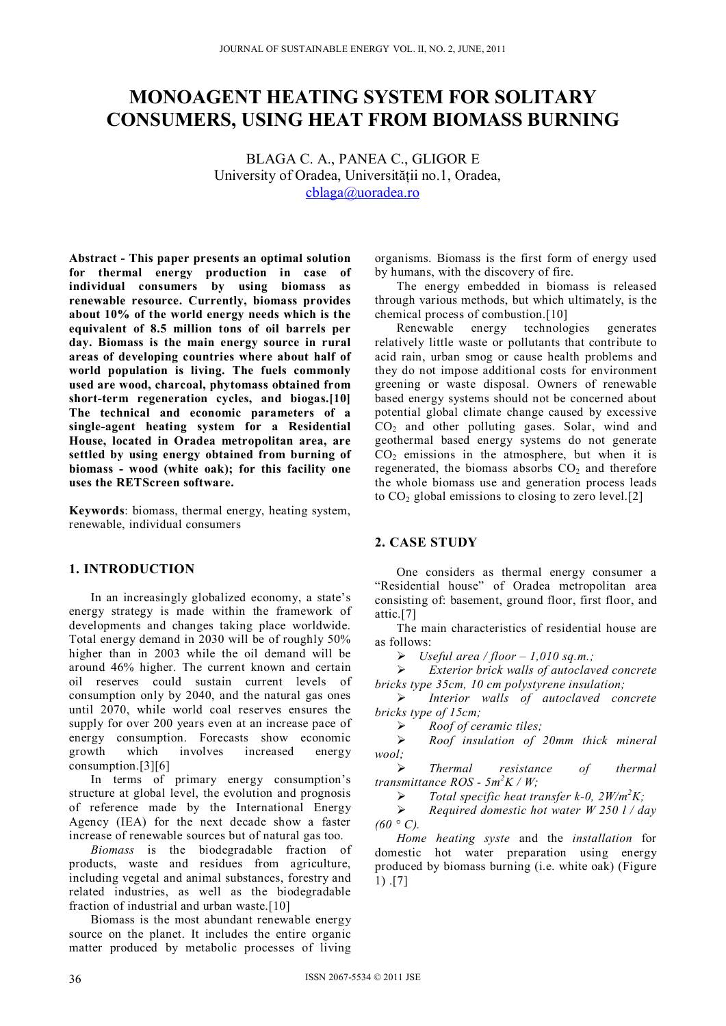# **MONOAGENT HEATING SYSTEM FOR SOLITARY CONSUMERS, USING HEAT FROM BIOMASS BURNING**

BLAGA C. A., PANEA C., GLIGOR E University of Oradea, Universităţii no.1, Oradea, cblaga@uoradea.ro

**Abstract - This paper presents an optimal solution for thermal energy production in case of individual consumers by using biomass as renewable resource. Currently, biomass provides about 10% of the world energy needs which is the equivalent of 8.5 million tons of oil barrels per day. Biomass is the main energy source in rural areas of developing countries where about half of world population is living. The fuels commonly used are wood, charcoal, phytomass obtained from short-term regeneration cycles, and biogas.[10] The technical and economic parameters of a single-agent heating system for a Residential House, located in Oradea metropolitan area, are settled by using energy obtained from burning of biomass - wood (white oak); for this facility one uses the RETScreen software.** 

**Keywords**: biomass, thermal energy, heating system, renewable, individual consumers

## **1. INTRODUCTION**

In an increasingly globalized economy, a state's energy strategy is made within the framework of developments and changes taking place worldwide. Total energy demand in 2030 will be of roughly 50% higher than in 2003 while the oil demand will be around 46% higher. The current known and certain oil reserves could sustain current levels of consumption only by 2040, and the natural gas ones until 2070, while world coal reserves ensures the supply for over 200 years even at an increase pace of energy consumption. Forecasts show economic growth which involves increased energy consumption.[3][6]

In terms of primary energy consumption's structure at global level, the evolution and prognosis of reference made by the International Energy Agency (IEA) for the next decade show a faster increase of renewable sources but of natural gas too.

*Biomass* is the biodegradable fraction of products, waste and residues from agriculture, including vegetal and animal substances, forestry and related industries, as well as the biodegradable fraction of industrial and urban waste.[10]

Biomass is the most abundant renewable energy source on the planet. It includes the entire organic matter produced by metabolic processes of living organisms. Biomass is the first form of energy used by humans, with the discovery of fire.

The energy embedded in biomass is released through various methods, but which ultimately, is the chemical process of combustion.[10]

Renewable energy technologies generates relatively little waste or pollutants that contribute to acid rain, urban smog or cause health problems and they do not impose additional costs for environment greening or waste disposal. Owners of renewable based energy systems should not be concerned about potential global climate change caused by excessive  $CO<sub>2</sub>$  and other polluting gases. Solar, wind and geothermal based energy systems do not generate  $CO<sub>2</sub>$  emissions in the atmosphere, but when it is regenerated, the biomass absorbs  $CO<sub>2</sub>$  and therefore the whole biomass use and generation process leads to  $CO<sub>2</sub>$  global emissions to closing to zero level.[2]

### **2. CASE STUDY**

One considers as thermal energy consumer a "Residential house" of Oradea metropolitan area consisting of: basement, ground floor, first floor, and attic.[7]

The main characteristics of residential house are as follows:

 $\triangleright$  Useful area / floor – 1,010 sq.m.;

 *Exterior brick walls of autoclaved concrete bricks type 35cm, 10 cm polystyrene insulation;* 

 *Interior walls of autoclaved concrete bricks type of 15cm;* 

*Roof of ceramic tiles;* 

 *Roof insulation of 20mm thick mineral wool;* 

 *Thermal resistance of thermal transmittance ROS - 5m<sup>2</sup> K / W;* 

*Total specific heat transfer k-0, 2W/m<sup>2</sup> K;* 

 *Required domestic hot water W 250 l / day*   $(60 °C)$ .

*Home heating syste* and the *installation* for domestic hot water preparation using energy produced by biomass burning (i.e. white oak) (Figure 1) .[7]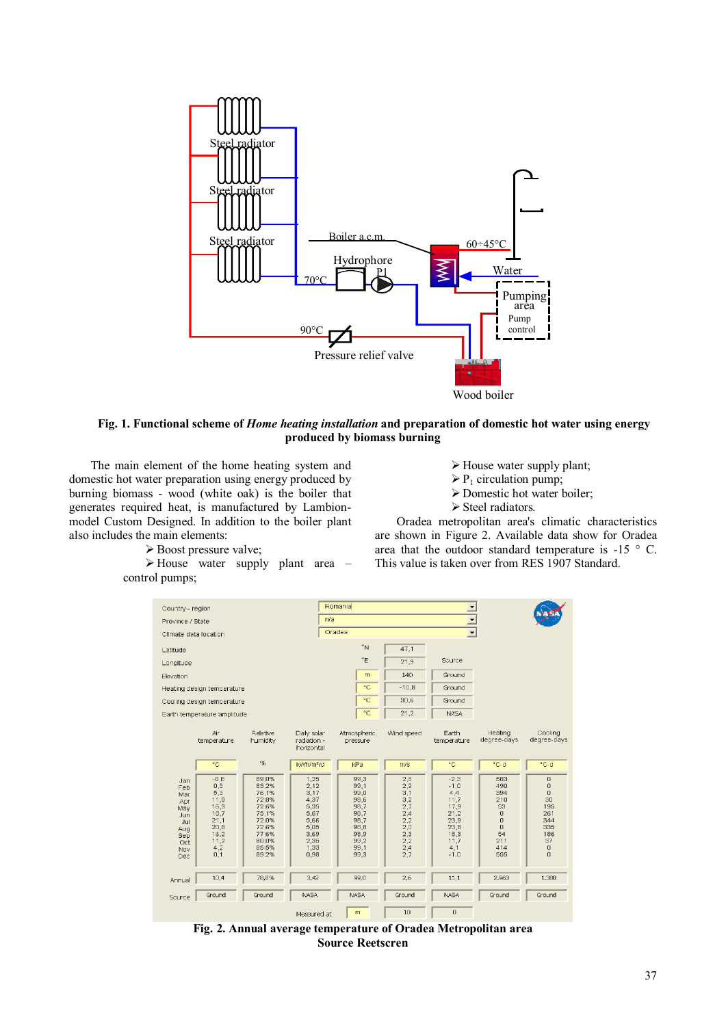

#### **Fig. 1. Functional scheme of** *Home heating installation* **and preparation of domestic hot water using energy produced by biomass burning**

The main element of the home heating system and domestic hot water preparation using energy produced by burning biomass - wood (white oak) is the boiler that generates required heat, is manufactured by Lambionmodel Custom Designed. In addition to the boiler plant also includes the main elements:

Boost pressure valve;

 $\triangleright$  House water supply plant area – control pumps;

- $\triangleright$  House water supply plant;
- $\triangleright$  P<sub>1</sub> circulation pump;
- Domestic hot water boiler;
- Steel radiators*.*

Oradea metropolitan area's climatic characteristics are shown in Figure 2. Available data show for Oradea area that the outdoor standard temperature is  $-15$  ° C. This value is taken over from RES 1907 Standard.



**Fig. 2. Annual average temperature of Oradea Metropolitan area Source Reetscren**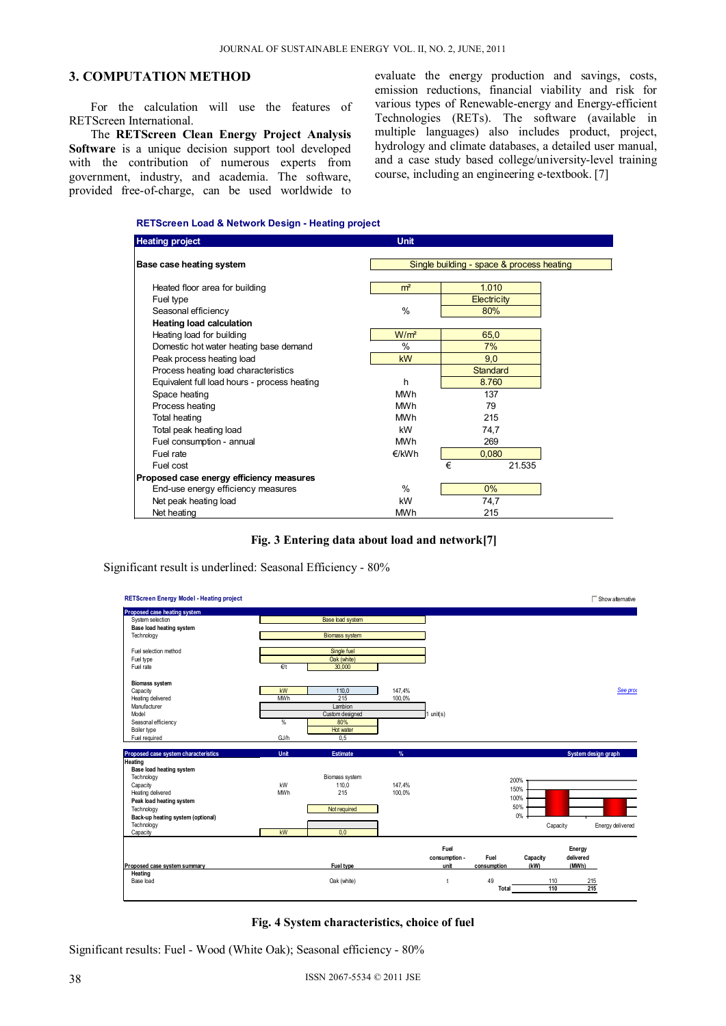# **3. COMPUTATION METHOD**

For the calculation will use the features of RETScreen International.

The **RETScreen Clean Energy Project Analysis Software** is a unique decision support tool developed with the contribution of numerous experts from government, industry, and academia. The software, provided free-of-charge, can be used worldwide to evaluate the energy production and savings, costs, emission reductions, financial viability and risk for various types of Renewable-energy and Energy-efficient Technologies (RETs). The software (available in multiple languages) also includes product, project, hydrology and climate databases, a detailed user manual, and a case study based college/university-level training course, including an engineering e-textbook. [7]

#### **RETScreen Load & Network Design - Heating project**

| <b>Heating project</b>                       | <b>Unit</b>                               |                 |  |  |  |
|----------------------------------------------|-------------------------------------------|-----------------|--|--|--|
| Base case heating system                     | Single building - space & process heating |                 |  |  |  |
|                                              |                                           |                 |  |  |  |
| Heated floor area for building               | m <sup>2</sup>                            | 1.010           |  |  |  |
| Fuel type                                    |                                           | Electricity     |  |  |  |
| Seasonal efficiency                          | $\frac{0}{0}$                             | 80%             |  |  |  |
| <b>Heating load calculation</b>              |                                           |                 |  |  |  |
| Heating load for building                    | W/m <sup>2</sup>                          | 65,0            |  |  |  |
| Domestic hot water heating base demand       | $\frac{0}{0}$                             | 7%              |  |  |  |
| Peak process heating load                    | <b>kW</b>                                 | 9,0             |  |  |  |
| Process heating load characteristics         |                                           | <b>Standard</b> |  |  |  |
| Equivalent full load hours - process heating | h                                         | 8.760           |  |  |  |
| Space heating                                | <b>MWh</b>                                | 137             |  |  |  |
| Process heating                              | <b>MWh</b>                                | 79              |  |  |  |
| Total heating                                | <b>MWh</b>                                | 215             |  |  |  |
| Total peak heating load                      | kW                                        | 74,7            |  |  |  |
| Fuel consumption - annual                    | <b>MWh</b>                                | 269             |  |  |  |
| Fuel rate                                    | €/kWh                                     | 0,080           |  |  |  |
| Fuel cost                                    |                                           | €<br>21.535     |  |  |  |
| Proposed case energy efficiency measures     |                                           |                 |  |  |  |
| End-use energy efficiency measures           | $\%$                                      | $0\%$           |  |  |  |
| Net peak heating load                        | kW                                        | 74,7            |  |  |  |
| Net heating                                  | <b>MWh</b>                                | 215             |  |  |  |

#### **Fig. 3 Entering data about load and network[7]**

Significant result is underlined: Seasonal Efficiency - 80%



#### **Fig. 4 System characteristics, choice of fuel**

Significant results: Fuel - Wood (White Oak); Seasonal efficiency - 80%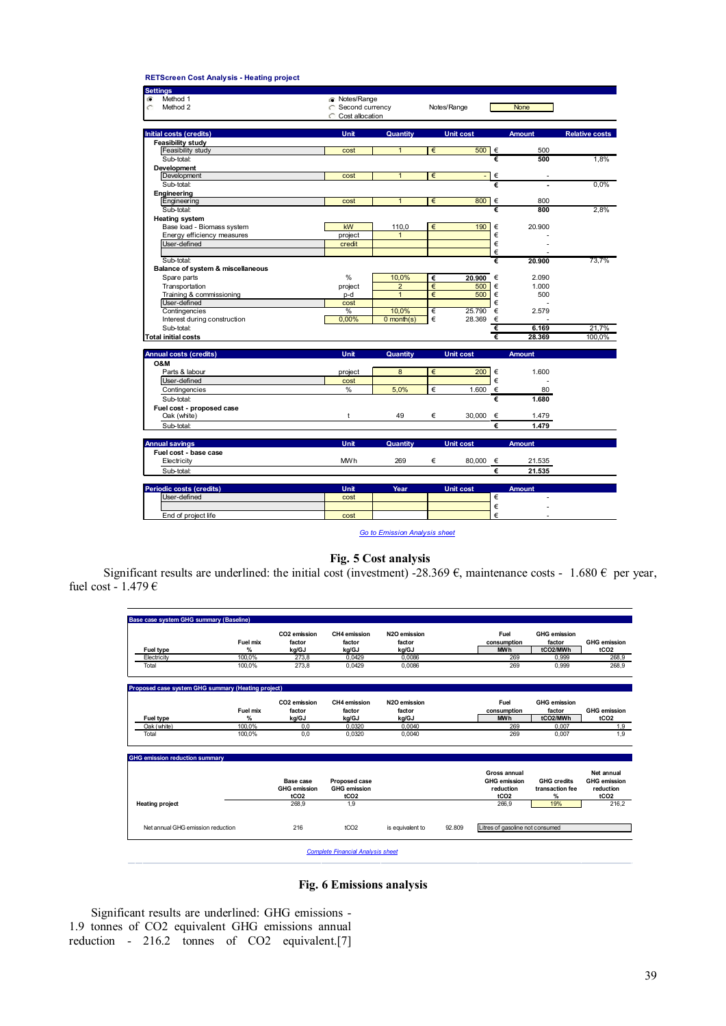#### **RETScreen Cost Analysis - Heating project**

| <b>Settings</b>                   |                      |                 |             |                  |               |                       |
|-----------------------------------|----------------------|-----------------|-------------|------------------|---------------|-----------------------|
| Method 1<br>G                     | <b>T</b> Notes/Range |                 |             |                  |               |                       |
| Method 2<br>C                     | G Second currency    |                 | Notes/Range |                  | <b>None</b>   |                       |
|                                   | Cost allocation<br>C |                 |             |                  |               |                       |
|                                   |                      |                 |             |                  |               |                       |
| Initial costs (credits)           | Unit                 | Quantity        |             | <b>Unit cost</b> | <b>Amount</b> | <b>Relative costs</b> |
| <b>Feasibility study</b>          |                      |                 |             |                  |               |                       |
| Feasibility study                 | cost                 | $\mathbf{1}$    | €           | $500$ $\in$      | 500           |                       |
| Sub-total:                        |                      |                 |             |                  | €<br>500      | 1,8%                  |
| Development                       |                      |                 |             |                  |               |                       |
| Development                       | cost                 | $\mathbf{1}$    | €           | ÷,               | €             |                       |
| Sub-total:                        |                      |                 |             |                  | €             | 0.0%                  |
| Engineering                       | cost                 | $\mathbf{1}$    | €           | 800              | €<br>800      |                       |
| Engineering                       |                      |                 |             |                  | €<br>800      |                       |
| Sub-total:                        |                      |                 |             |                  |               | 2.8%                  |
| <b>Heating system</b>             |                      |                 |             |                  |               |                       |
| Base load - Biomass system        | kW                   | 110,0           | €           | 190              | €<br>20,900   |                       |
| Energy efficiency measures        | project              | $\mathbf{1}$    |             |                  | €             |                       |
| User-defined                      | credit               |                 |             |                  | €             |                       |
|                                   |                      |                 |             |                  | €             |                       |
| Sub-total:                        |                      |                 |             |                  | €<br>20.900   | 73,7%                 |
| Balance of system & miscellaneous | $\frac{0}{0}$        |                 |             |                  |               |                       |
| Spare parts                       |                      | 10.0%           | €           | 20.900 €         | 2.090         |                       |
| Transportation                    | project              | $\overline{2}$  | €           | 500              | €<br>1.000    |                       |
| Training & commissioning          | p-d                  | $\mathbf{1}$    | €           | 500              | €<br>500      |                       |
| User-defined                      | cost                 |                 |             |                  | €             |                       |
| Contingencies                     | %                    | 10,0%           | €           | 25,790           | €<br>2.579    |                       |
| Interest during construction      | 0,00%                | $0$ month $(s)$ | €           | 28.369<br>€      |               |                       |
| Sub-total:                        |                      |                 |             |                  | €<br>6.169    | 21.7%                 |
| Total initial costs               |                      |                 |             |                  | €<br>28.369   | 100.0%                |
| <b>Annual costs (credits)</b>     | Unit                 | Quantity        |             | <b>Unit cost</b> | <b>Amount</b> |                       |
| O&M                               |                      |                 |             |                  |               |                       |
| Parts & labour                    | project              | 8               | €           | 200              | €<br>1.600    |                       |
| User-defined                      | cost                 |                 |             |                  | €             |                       |
| Contingencies                     | %                    | 5,0%            | €           | 1.600            | €<br>80       |                       |
| Sub-total:                        |                      |                 |             |                  | €<br>1.680    |                       |
| Fuel cost - proposed case         |                      |                 |             |                  |               |                       |
| Oak (white)                       | t                    | 49              | €           | 30,000           | €<br>1.479    |                       |
| Sub-total:                        |                      |                 |             |                  | €<br>1.479    |                       |
|                                   |                      |                 |             |                  |               |                       |
| <b>Annual savings</b>             | Unit                 | Quantity        |             | <b>Unit cost</b> | <b>Amount</b> |                       |
| Fuel cost - base case             |                      |                 |             |                  |               |                       |
| Electricity                       | <b>MWh</b>           | 269             | €           | 80.000 €         | 21.535        |                       |
| Sub-total:                        |                      |                 |             |                  | €<br>21.535   |                       |
|                                   |                      |                 |             |                  |               |                       |
| <b>Periodic costs (credits)</b>   | Unit                 | Year            |             | <b>Unit cost</b> | <b>Amount</b> |                       |
| User-defined                      | cost                 |                 |             |                  | €             |                       |
|                                   |                      |                 |             |                  | €             |                       |
| End of project life               | cost                 |                 |             |                  | €             |                       |
|                                   |                      |                 |             |                  |               |                       |

*Go to Emission Analysis sheet*

## **Fig. 5 Cost analysis**

Significant results are underlined: the initial cost (investment) -28.369  $\epsilon$ , maintenance costs - 1.680  $\epsilon$  per year, fuel cost - 1.479  $\epsilon$ 

| <b>Fuel type</b>                                   | Fuel mix<br>$\frac{9}{6}$ | CO <sub>2</sub> emission<br>factor<br>ka/GJ | CH4 emission<br>factor<br>ka/GJ | N <sub>20</sub> emission<br>factor<br>ka/GJ | Fuel<br>consumption<br><b>MWh</b> | <b>GHG</b> emission<br>factor<br>tCO2/MWh | <b>GHG</b> emission<br>tCO <sub>2</sub> |
|----------------------------------------------------|---------------------------|---------------------------------------------|---------------------------------|---------------------------------------------|-----------------------------------|-------------------------------------------|-----------------------------------------|
| Electricity<br>Total                               | 100.0%<br>100.0%          | 273.8<br>273.8                              | 0.0429<br>0.0429                | 0.0086<br>0.0086                            | 269<br>269                        | 0.999<br>0.999                            | 268.9<br>268.9                          |
| Proposed case system GHG summary (Heating project) |                           |                                             |                                 |                                             |                                   |                                           |                                         |
|                                                    | Fuel mix                  | CO <sub>2</sub> emission<br>factor          | CH4 emission<br>factor          | N2O emission<br>factor                      | Fuel<br>consumption               | <b>GHG</b> emission<br>factor             | <b>GHG</b> emission                     |
| Fuel type                                          | %                         | kg/GJ                                       | kg/GJ                           | kg/GJ                                       | <b>MWh</b>                        | tCO2/MWh                                  | tCO <sub>2</sub>                        |
| Oak (white)<br>Total                               | 100.0%<br>100.0%          | 0.0<br>0,0                                  | 0.0320<br>0.0320                | 0.0040<br>0.0040                            | 269<br>269                        | 0.007<br>0.007                            |                                         |
|                                                    |                           |                                             |                                 |                                             |                                   |                                           |                                         |
| <b>GHG emission reduction summary</b>              |                           |                                             |                                 |                                             | <b>Gross annual</b>               |                                           | Net annual                              |
|                                                    |                           | Base case                                   | <b>Proposed case</b>            |                                             | <b>GHG</b> emission               | <b>GHG</b> credits                        | <b>GHG</b> emission                     |
|                                                    |                           | <b>GHG</b> emission                         | <b>GHG</b> emission             |                                             | reduction                         | transaction fee                           | reduction                               |
|                                                    |                           | tCO <sub>2</sub>                            | tCO <sub>2</sub>                |                                             | tCO <sub>2</sub>                  | %                                         | tCO <sub>2</sub>                        |
|                                                    |                           | 268.9                                       | 1.9                             |                                             | 266.9                             | 19%                                       | 216.2                                   |
| <b>Heating project</b>                             |                           |                                             |                                 |                                             | Litres of gasoline not consumed   |                                           |                                         |

# **Fig. 6 Emissions analysis**

Significant results are underlined: GHG emissions - 1.9 tonnes of CO2 equivalent GHG emissions annual reduction - 216.2 tonnes of CO2 equivalent.[7]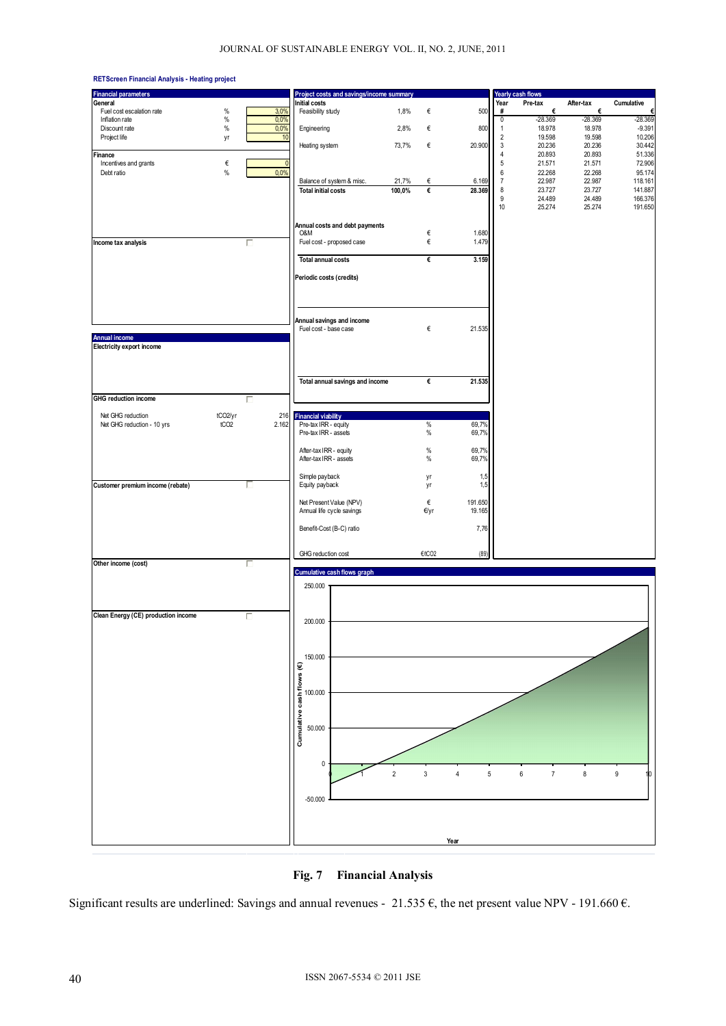



Significant results are underlined: Savings and annual revenues - 21.535  $\epsilon$ , the net present value NPV - 191.660  $\epsilon$ .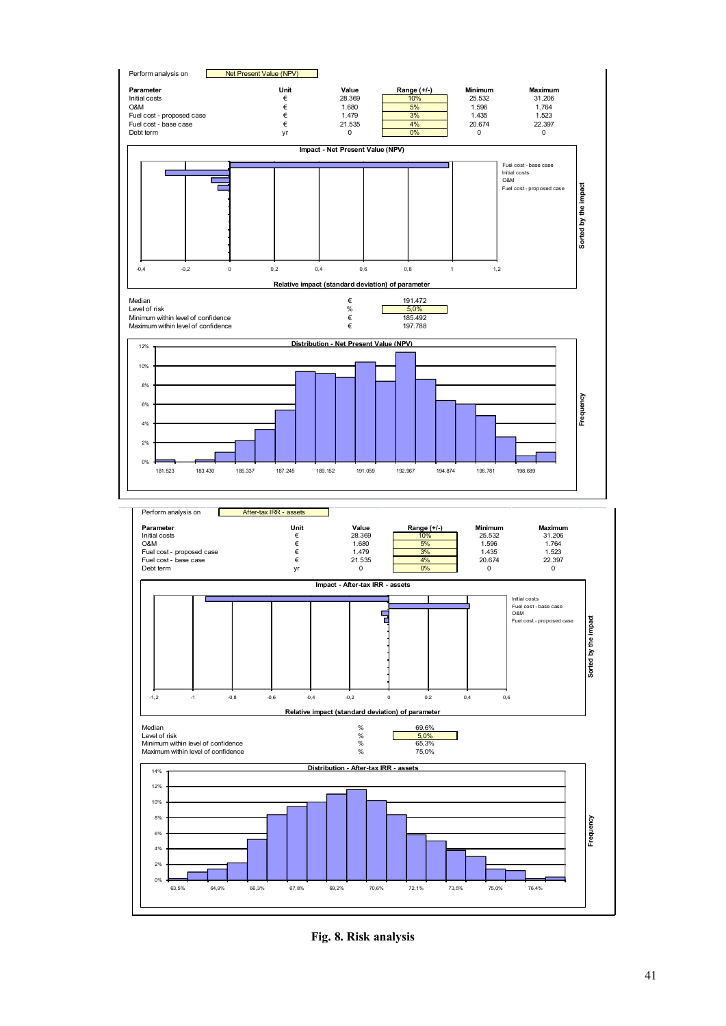

**Fig. 8. Risk analysis**